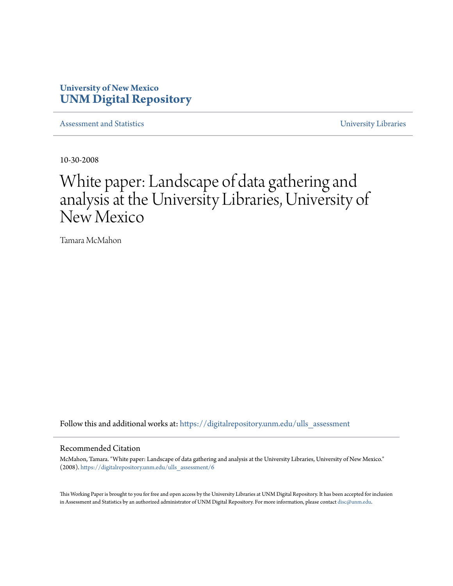## **University of New Mexico [UNM Digital Repository](https://digitalrepository.unm.edu?utm_source=digitalrepository.unm.edu%2Fulls_assessment%2F6&utm_medium=PDF&utm_campaign=PDFCoverPages)**

[Assessment and Statistics](https://digitalrepository.unm.edu/ulls_assessment?utm_source=digitalrepository.unm.edu%2Fulls_assessment%2F6&utm_medium=PDF&utm_campaign=PDFCoverPages) [University Libraries](https://digitalrepository.unm.edu/libraries?utm_source=digitalrepository.unm.edu%2Fulls_assessment%2F6&utm_medium=PDF&utm_campaign=PDFCoverPages)

10-30-2008

# White paper: Landscape of data gathering and analysis at the University Libraries, University of New Mexico

Tamara McMahon

Follow this and additional works at: [https://digitalrepository.unm.edu/ulls\\_assessment](https://digitalrepository.unm.edu/ulls_assessment?utm_source=digitalrepository.unm.edu%2Fulls_assessment%2F6&utm_medium=PDF&utm_campaign=PDFCoverPages)

#### Recommended Citation

McMahon, Tamara. "White paper: Landscape of data gathering and analysis at the University Libraries, University of New Mexico." (2008). [https://digitalrepository.unm.edu/ulls\\_assessment/6](https://digitalrepository.unm.edu/ulls_assessment/6?utm_source=digitalrepository.unm.edu%2Fulls_assessment%2F6&utm_medium=PDF&utm_campaign=PDFCoverPages)

This Working Paper is brought to you for free and open access by the University Libraries at UNM Digital Repository. It has been accepted for inclusion in Assessment and Statistics by an authorized administrator of UNM Digital Repository. For more information, please contact [disc@unm.edu.](mailto:disc@unm.edu)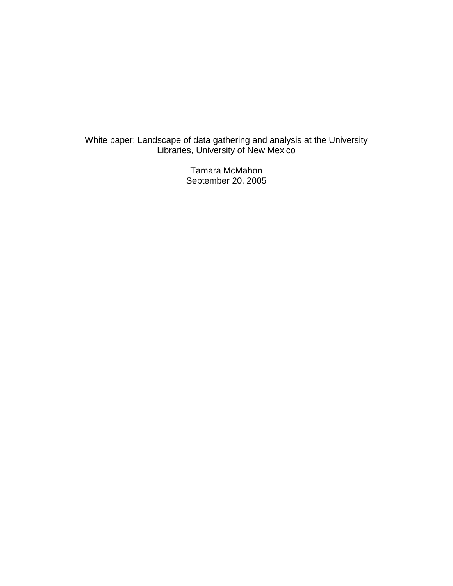White paper: Landscape of data gathering and analysis at the University Libraries, University of New Mexico

> Tamara McMahon September 20, 2005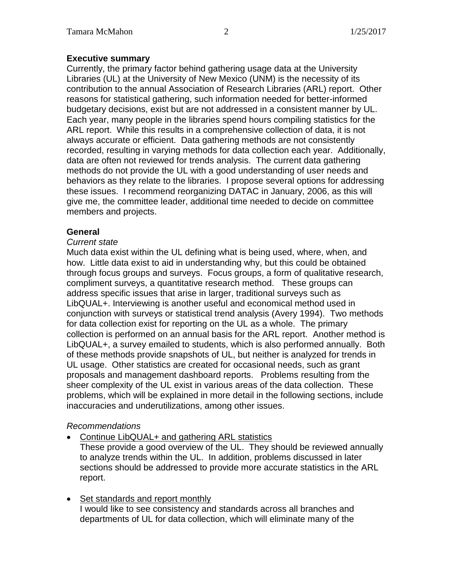## **Executive summary**

Currently, the primary factor behind gathering usage data at the University Libraries (UL) at the University of New Mexico (UNM) is the necessity of its contribution to the annual Association of Research Libraries (ARL) report. Other reasons for statistical gathering, such information needed for better-informed budgetary decisions, exist but are not addressed in a consistent manner by UL. Each year, many people in the libraries spend hours compiling statistics for the ARL report. While this results in a comprehensive collection of data, it is not always accurate or efficient. Data gathering methods are not consistently recorded, resulting in varying methods for data collection each year. Additionally, data are often not reviewed for trends analysis. The current data gathering methods do not provide the UL with a good understanding of user needs and behaviors as they relate to the libraries. I propose several options for addressing these issues. I recommend reorganizing DATAC in January, 2006, as this will give me, the committee leader, additional time needed to decide on committee members and projects.

## **General**

### *Current state*

Much data exist within the UL defining what is being used, where, when, and how. Little data exist to aid in understanding why, but this could be obtained through focus groups and surveys. Focus groups, a form of qualitative research, compliment surveys, a quantitative research method. These groups can address specific issues that arise in larger, traditional surveys such as LibQUAL+. Interviewing is another useful and economical method used in conjunction with surveys or statistical trend analysis (Avery 1994). Two methods for data collection exist for reporting on the UL as a whole. The primary collection is performed on an annual basis for the ARL report. Another method is LibQUAL+, a survey emailed to students, which is also performed annually. Both of these methods provide snapshots of UL, but neither is analyzed for trends in UL usage. Other statistics are created for occasional needs, such as grant proposals and management dashboard reports. Problems resulting from the sheer complexity of the UL exist in various areas of the data collection. These problems, which will be explained in more detail in the following sections, include inaccuracies and underutilizations, among other issues.

## *Recommendations*

• Continue LibQUAL+ and gathering ARL statistics

These provide a good overview of the UL. They should be reviewed annually to analyze trends within the UL. In addition, problems discussed in later sections should be addressed to provide more accurate statistics in the ARL report.

• Set standards and report monthly I would like to see consistency and standards across all branches and departments of UL for data collection, which will eliminate many of the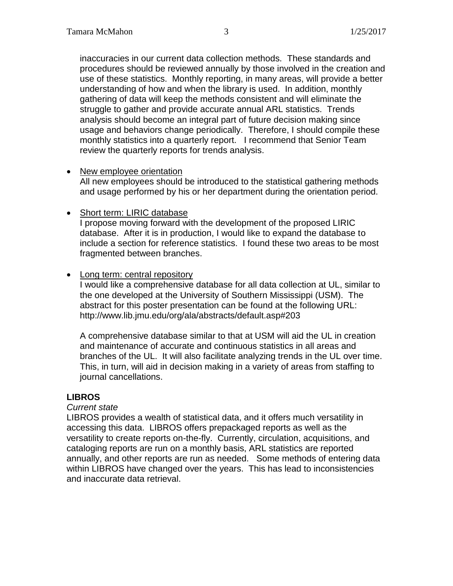inaccuracies in our current data collection methods. These standards and procedures should be reviewed annually by those involved in the creation and use of these statistics. Monthly reporting, in many areas, will provide a better understanding of how and when the library is used. In addition, monthly gathering of data will keep the methods consistent and will eliminate the struggle to gather and provide accurate annual ARL statistics. Trends analysis should become an integral part of future decision making since usage and behaviors change periodically. Therefore, I should compile these monthly statistics into a quarterly report. I recommend that Senior Team review the quarterly reports for trends analysis.

### • New employee orientation

All new employees should be introduced to the statistical gathering methods and usage performed by his or her department during the orientation period.

## • Short term: LIRIC database

I propose moving forward with the development of the proposed LIRIC database. After it is in production, I would like to expand the database to include a section for reference statistics. I found these two areas to be most fragmented between branches.

## • Long term: central repository

I would like a comprehensive database for all data collection at UL, similar to the one developed at the University of Southern Mississippi (USM). The abstract for this poster presentation can be found at the following URL: http://www.lib.jmu.edu/org/ala/abstracts/default.asp#203

A comprehensive database similar to that at USM will aid the UL in creation and maintenance of accurate and continuous statistics in all areas and branches of the UL. It will also facilitate analyzing trends in the UL over time. This, in turn, will aid in decision making in a variety of areas from staffing to journal cancellations.

## **LIBROS**

#### *Current state*

LIBROS provides a wealth of statistical data, and it offers much versatility in accessing this data. LIBROS offers prepackaged reports as well as the versatility to create reports on-the-fly. Currently, circulation, acquisitions, and cataloging reports are run on a monthly basis, ARL statistics are reported annually, and other reports are run as needed. Some methods of entering data within LIBROS have changed over the years. This has lead to inconsistencies and inaccurate data retrieval.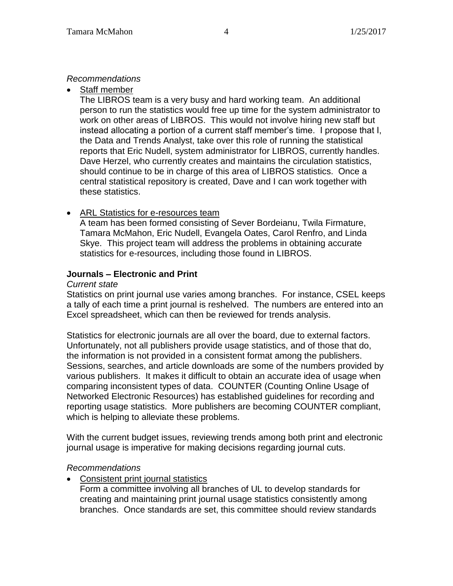## *Recommendations*

• Staff member

The LIBROS team is a very busy and hard working team. An additional person to run the statistics would free up time for the system administrator to work on other areas of LIBROS. This would not involve hiring new staff but instead allocating a portion of a current staff member's time. I propose that I, the Data and Trends Analyst, take over this role of running the statistical reports that Eric Nudell, system administrator for LIBROS, currently handles. Dave Herzel, who currently creates and maintains the circulation statistics, should continue to be in charge of this area of LIBROS statistics. Once a central statistical repository is created, Dave and I can work together with these statistics.

## • ARL Statistics for e-resources team

A team has been formed consisting of Sever Bordeianu, Twila Firmature, Tamara McMahon, Eric Nudell, Evangela Oates, Carol Renfro, and Linda Skye. This project team will address the problems in obtaining accurate statistics for e-resources, including those found in LIBROS.

## **Journals – Electronic and Print**

### *Current state*

Statistics on print journal use varies among branches. For instance, CSEL keeps a tally of each time a print journal is reshelved. The numbers are entered into an Excel spreadsheet, which can then be reviewed for trends analysis.

Statistics for electronic journals are all over the board, due to external factors. Unfortunately, not all publishers provide usage statistics, and of those that do, the information is not provided in a consistent format among the publishers. Sessions, searches, and article downloads are some of the numbers provided by various publishers. It makes it difficult to obtain an accurate idea of usage when comparing inconsistent types of data. COUNTER (Counting Online Usage of Networked Electronic Resources) has established guidelines for recording and reporting usage statistics. More publishers are becoming COUNTER compliant, which is helping to alleviate these problems.

With the current budget issues, reviewing trends among both print and electronic journal usage is imperative for making decisions regarding journal cuts.

## *Recommendations*

- Consistent print journal statistics
	- Form a committee involving all branches of UL to develop standards for creating and maintaining print journal usage statistics consistently among branches. Once standards are set, this committee should review standards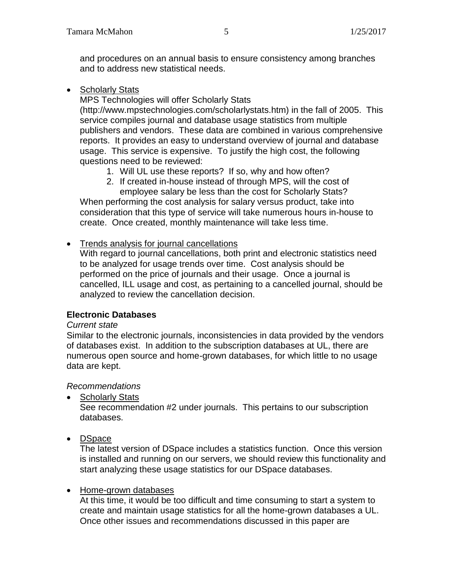and procedures on an annual basis to ensure consistency among branches and to address new statistical needs.

• Scholarly Stats

MPS Technologies will offer Scholarly Stats (http://www.mpstechnologies.com/scholarlystats.htm) in the fall of 2005. This service compiles journal and database usage statistics from multiple publishers and vendors. These data are combined in various comprehensive reports. It provides an easy to understand overview of journal and database usage. This service is expensive. To justify the high cost, the following questions need to be reviewed:

- 1. Will UL use these reports? If so, why and how often?
- 2. If created in-house instead of through MPS, will the cost of employee salary be less than the cost for Scholarly Stats?

When performing the cost analysis for salary versus product, take into consideration that this type of service will take numerous hours in-house to create. Once created, monthly maintenance will take less time.

• Trends analysis for journal cancellations

With regard to journal cancellations, both print and electronic statistics need to be analyzed for usage trends over time. Cost analysis should be performed on the price of journals and their usage. Once a journal is cancelled, ILL usage and cost, as pertaining to a cancelled journal, should be analyzed to review the cancellation decision.

## **Electronic Databases**

#### *Current state*

Similar to the electronic journals, inconsistencies in data provided by the vendors of databases exist. In addition to the subscription databases at UL, there are numerous open source and home-grown databases, for which little to no usage data are kept.

## *Recommendations*

• Scholarly Stats

See recommendation #2 under journals. This pertains to our subscription databases.

• DSpace

The latest version of DSpace includes a statistics function. Once this version is installed and running on our servers, we should review this functionality and start analyzing these usage statistics for our DSpace databases.

## • Home-grown databases

At this time, it would be too difficult and time consuming to start a system to create and maintain usage statistics for all the home-grown databases a UL. Once other issues and recommendations discussed in this paper are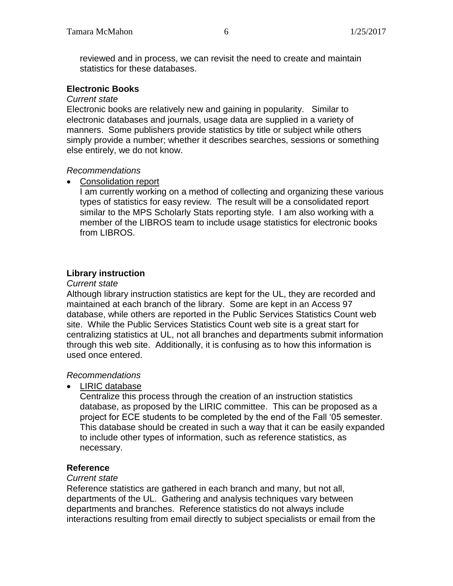reviewed and in process, we can revisit the need to create and maintain statistics for these databases.

### **Electronic Books**

#### *Current state*

Electronic books are relatively new and gaining in popularity. Similar to electronic databases and journals, usage data are supplied in a variety of manners. Some publishers provide statistics by title or subject while others simply provide a number; whether it describes searches, sessions or something else entirely, we do not know.

### *Recommendations*

• Consolidation report

I am currently working on a method of collecting and organizing these various types of statistics for easy review. The result will be a consolidated report similar to the MPS Scholarly Stats reporting style. I am also working with a member of the LIBROS team to include usage statistics for electronic books from LIBROS.

## **Library instruction**

#### *Current state*

Although library instruction statistics are kept for the UL, they are recorded and maintained at each branch of the library. Some are kept in an Access 97 database, while others are reported in the Public Services Statistics Count web site. While the Public Services Statistics Count web site is a great start for centralizing statistics at UL, not all branches and departments submit information through this web site. Additionally, it is confusing as to how this information is used once entered.

## *Recommendations*

• LIRIC database

Centralize this process through the creation of an instruction statistics database, as proposed by the LIRIC committee. This can be proposed as a project for ECE students to be completed by the end of the Fall '05 semester. This database should be created in such a way that it can be easily expanded to include other types of information, such as reference statistics, as necessary.

## **Reference**

#### *Current state*

Reference statistics are gathered in each branch and many, but not all, departments of the UL. Gathering and analysis techniques vary between departments and branches. Reference statistics do not always include interactions resulting from email directly to subject specialists or email from the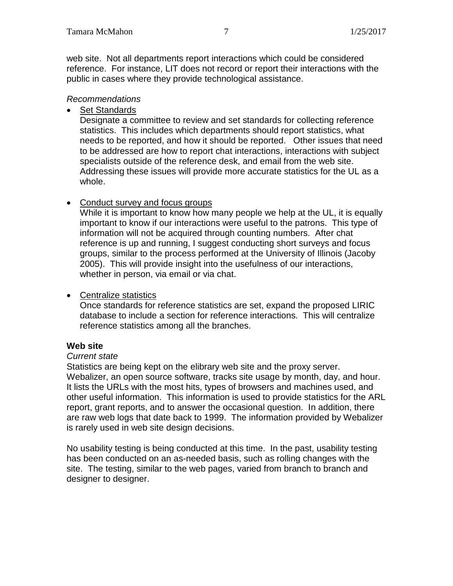web site. Not all departments report interactions which could be considered reference. For instance, LIT does not record or report their interactions with the public in cases where they provide technological assistance.

## *Recommendations*

• Set Standards

Designate a committee to review and set standards for collecting reference statistics. This includes which departments should report statistics, what needs to be reported, and how it should be reported. Other issues that need to be addressed are how to report chat interactions, interactions with subject specialists outside of the reference desk, and email from the web site. Addressing these issues will provide more accurate statistics for the UL as a whole.

## • Conduct survey and focus groups

While it is important to know how many people we help at the UL, it is equally important to know if our interactions were useful to the patrons. This type of information will not be acquired through counting numbers. After chat reference is up and running, I suggest conducting short surveys and focus groups, similar to the process performed at the University of Illinois (Jacoby 2005). This will provide insight into the usefulness of our interactions, whether in person, via email or via chat.

## • Centralize statistics

Once standards for reference statistics are set, expand the proposed LIRIC database to include a section for reference interactions. This will centralize reference statistics among all the branches.

## **Web site**

## *Current state*

Statistics are being kept on the elibrary web site and the proxy server. Webalizer, an open source software, tracks site usage by month, day, and hour. It lists the URLs with the most hits, types of browsers and machines used, and other useful information. This information is used to provide statistics for the ARL report, grant reports, and to answer the occasional question. In addition, there are raw web logs that date back to 1999. The information provided by Webalizer is rarely used in web site design decisions.

No usability testing is being conducted at this time. In the past, usability testing has been conducted on an as-needed basis, such as rolling changes with the site. The testing, similar to the web pages, varied from branch to branch and designer to designer.